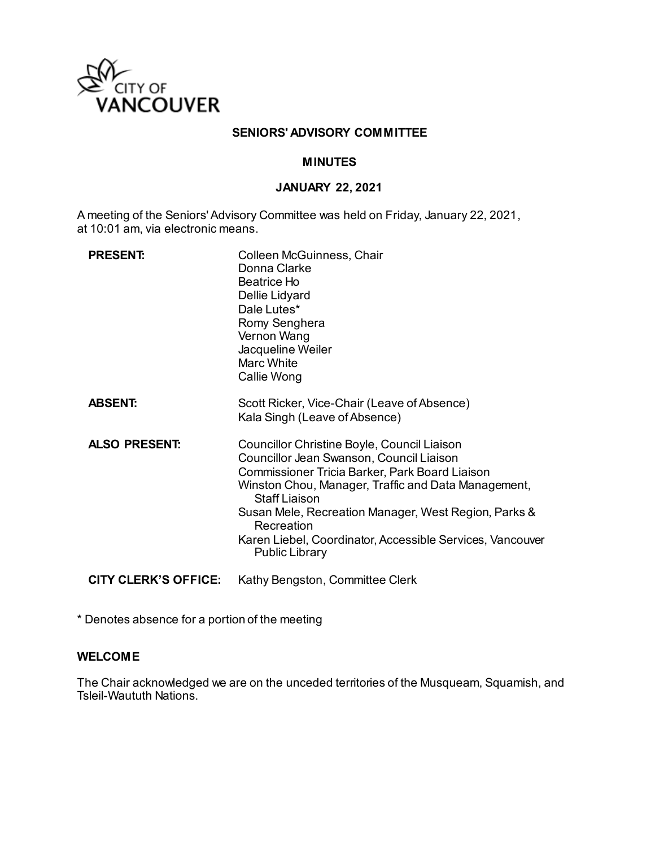

#### **SENIORS' ADVISORY COMMITTEE**

### **MINUTES**

#### **JANUARY 22, 2021**

A meeting of the Seniors' Advisory Committee was held on Friday, January 22, 2021, at 10:01 am, via electronic means.

| <b>PRESENT:</b>             | Colleen McGuinness, Chair<br>Donna Clarke<br>Beatrice Ho<br>Dellie Lidyard<br>Dale Lutes*<br>Romy Senghera<br>Vernon Wang<br>Jacqueline Weiler<br><b>Marc White</b><br>Callie Wong                                                                                                                                                                                                   |
|-----------------------------|--------------------------------------------------------------------------------------------------------------------------------------------------------------------------------------------------------------------------------------------------------------------------------------------------------------------------------------------------------------------------------------|
| <b>ABSENT:</b>              | Scott Ricker, Vice-Chair (Leave of Absence)<br>Kala Singh (Leave of Absence)                                                                                                                                                                                                                                                                                                         |
| <b>ALSO PRESENT:</b>        | Councillor Christine Boyle, Council Liaison<br>Councillor Jean Swanson, Council Liaison<br>Commissioner Tricia Barker, Park Board Liaison<br>Winston Chou, Manager, Traffic and Data Management,<br><b>Staff Liaison</b><br>Susan Mele, Recreation Manager, West Region, Parks &<br>Recreation<br>Karen Liebel, Coordinator, Accessible Services, Vancouver<br><b>Public Library</b> |
| <b>CITY CLERK'S OFFICE:</b> | Kathy Bengston, Committee Clerk                                                                                                                                                                                                                                                                                                                                                      |

\* Denotes absence for a portion of the meeting

#### **WELCOME**

The Chair acknowledged we are on the unceded territories of the Musqueam, Squamish, and Tsleil-Waututh Nations.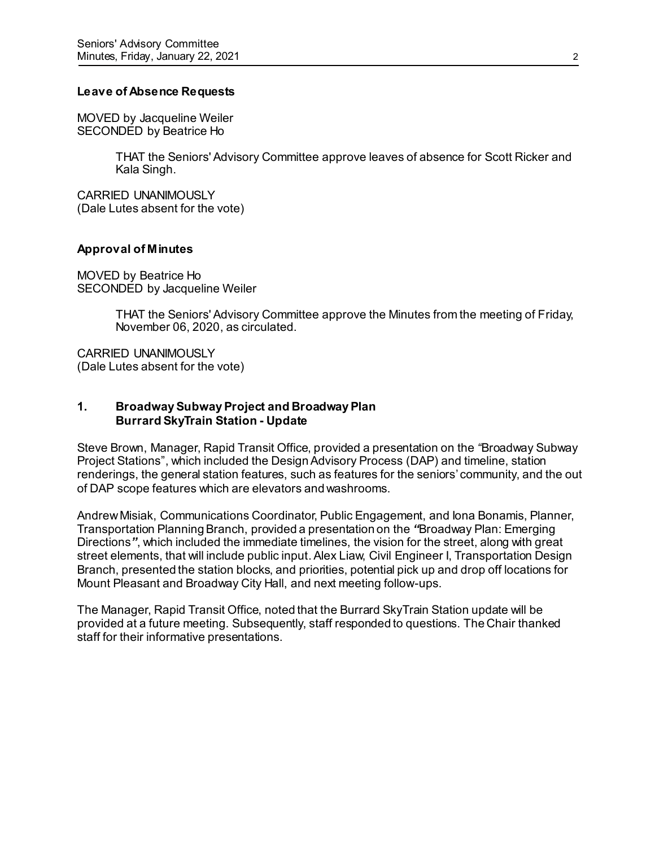#### **Leave of Absence Requests**

MOVED by Jacqueline Weiler SECONDED by Beatrice Ho

> THAT the Seniors' Advisory Committee approve leaves of absence for Scott Ricker and Kala Singh.

CARRIED UNANIMOUSLY (Dale Lutes absent for the vote)

#### **Approval of Minutes**

MOVED by Beatrice Ho SECONDED by Jacqueline Weiler

> THAT the Seniors' Advisory Committee approve the Minutes from the meeting of Friday, November 06, 2020, as circulated.

CARRIED UNANIMOUSLY (Dale Lutes absent for the vote)

### **1. Broadway Subway Project and Broadway Plan Burrard SkyTrain Station - Update**

Steve Brown, Manager, Rapid Transit Office, provided a presentation on the *"*Broadway Subway Project Stations", which included the Design Advisory Process (DAP) and timeline, station renderings, the general station features, such as features for the seniors' community, and the out of DAP scope features which are elevators and washrooms.

Andrew Misiak, Communications Coordinator, Public Engagement, and Iona Bonamis, Planner, Transportation Planning Branch, provided a presentation on the *"*Broadway Plan: Emerging Directions*"*, which included the immediate timelines, the vision for the street, along with great street elements, that will include public input. Alex Liaw, Civil Engineer I, Transportation Design Branch, presented the station blocks, and priorities, potential pick up and drop off locations for Mount Pleasant and Broadway City Hall, and next meeting follow-ups.

The Manager, Rapid Transit Office, noted that the Burrard SkyTrain Station update will be provided at a future meeting. Subsequently, staff responded to questions. The Chair thanked staff for their informative presentations.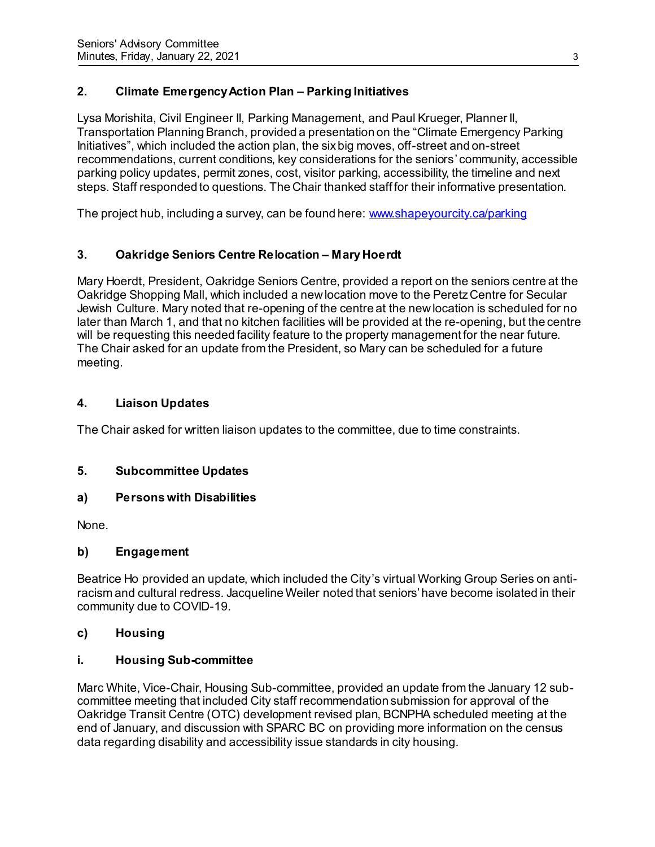# **2. Climate EmergencyAction Plan – Parking Initiatives**

Lysa Morishita, Civil Engineer II, Parking Management, and Paul Krueger, Planner II, Transportation Planning Branch, provided a presentation on the "Climate Emergency Parking Initiatives", which included the action plan, the six big moves, off-street and on-street recommendations, current conditions, key considerations for the seniors' community, accessible parking policy updates, permit zones, cost, visitor parking, accessibility, the timeline and next steps. Staff responded to questions. The Chair thanked staff for their informative presentation.

The project hub, including a survey, can be found here[: www.shapeyourcity.ca/parking](http://www.shapeyourcity.ca/parking)

### **3. Oakridge Seniors Centre Relocation – Mary Hoerdt**

Mary Hoerdt, President, Oakridge Seniors Centre, provided a report on the seniors centre at the Oakridge Shopping Mall, which included a new location move to the Peretz Centre for Secular Jewish Culture. Mary noted that re-opening of the centre at the new location is scheduled for no later than March 1, and that no kitchen facilities will be provided at the re-opening, but the centre will be requesting this needed facility feature to the property management for the near future. The Chair asked for an update from the President, so Mary can be scheduled for a future meeting.

### **4. Liaison Updates**

The Chair asked for written liaison updates to the committee, due to time constraints.

### **5. Subcommittee Updates**

### **a) Persons with Disabilities**

None.

### **b) Engagement**

Beatrice Ho provided an update, which included the City's virtual Working Group Series on antiracism and cultural redress. Jacqueline Weiler noted that seniors' have become isolated in their community due to COVID-19.

#### **c) Housing**

### **i. Housing Sub-committee**

Marc White, Vice-Chair, Housing Sub-committee, provided an update from the January 12 subcommittee meeting that included City staff recommendation submission for approval of the Oakridge Transit Centre (OTC) development revised plan, BCNPHA scheduled meeting at the end of January, and discussion with SPARC BC on providing more information on the census data regarding disability and accessibility issue standards in city housing.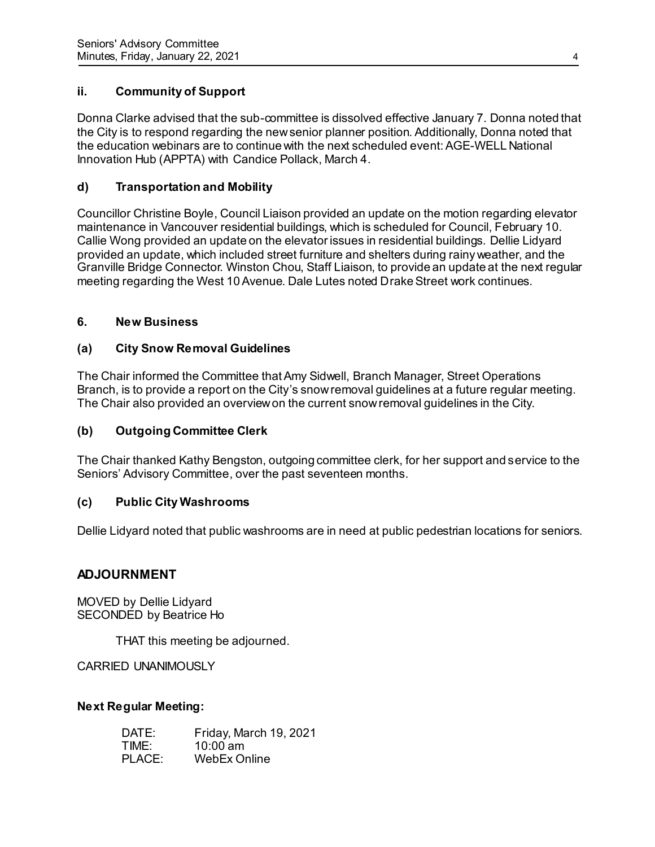## **ii. Community of Support**

Donna Clarke advised that the sub-committee is dissolved effective January 7. Donna noted that the City is to respond regarding the new senior planner position. Additionally, Donna noted that the education webinars are to continue with the next scheduled event: AGE-WELL National Innovation Hub (APPTA) with Candice Pollack, March 4.

### **d) Transportation and Mobility**

Councillor Christine Boyle, Council Liaison provided an update on the motion regarding elevator maintenance in Vancouver residential buildings, which is scheduled for Council, February 10. Callie Wong provided an update on the elevator issues in residential buildings. Dellie Lidyard provided an update, which included street furniture and shelters during rainy weather, and the Granville Bridge Connector. Winston Chou, Staff Liaison, to provide an update at the next regular meeting regarding the West 10 Avenue. Dale Lutes noted Drake Street work continues.

### **6. New Business**

### **(a) City Snow Removal Guidelines**

The Chair informed the Committee that Amy Sidwell, Branch Manager, Street Operations Branch, is to provide a report on the City's snow removal guidelines at a future regular meeting. The Chair also provided an overview on the current snow removal guidelines in the City.

### **(b) Outgoing Committee Clerk**

The Chair thanked Kathy Bengston, outgoing committee clerk, for her support and service to the Seniors' Advisory Committee, over the past seventeen months.

#### **(c) Public City Washrooms**

Dellie Lidyard noted that public washrooms are in need at public pedestrian locations for seniors.

### **ADJOURNMENT**

MOVED by Dellie Lidyard SECONDED by Beatrice Ho

THAT this meeting be adjourned.

CARRIED UNANIMOUSLY

#### **Next Regular Meeting:**

| DATE:  | Friday, March 19, 2021 |
|--------|------------------------|
| TIME:  | $10:00 \text{ am}$     |
| PLACE: | WebEx Online           |